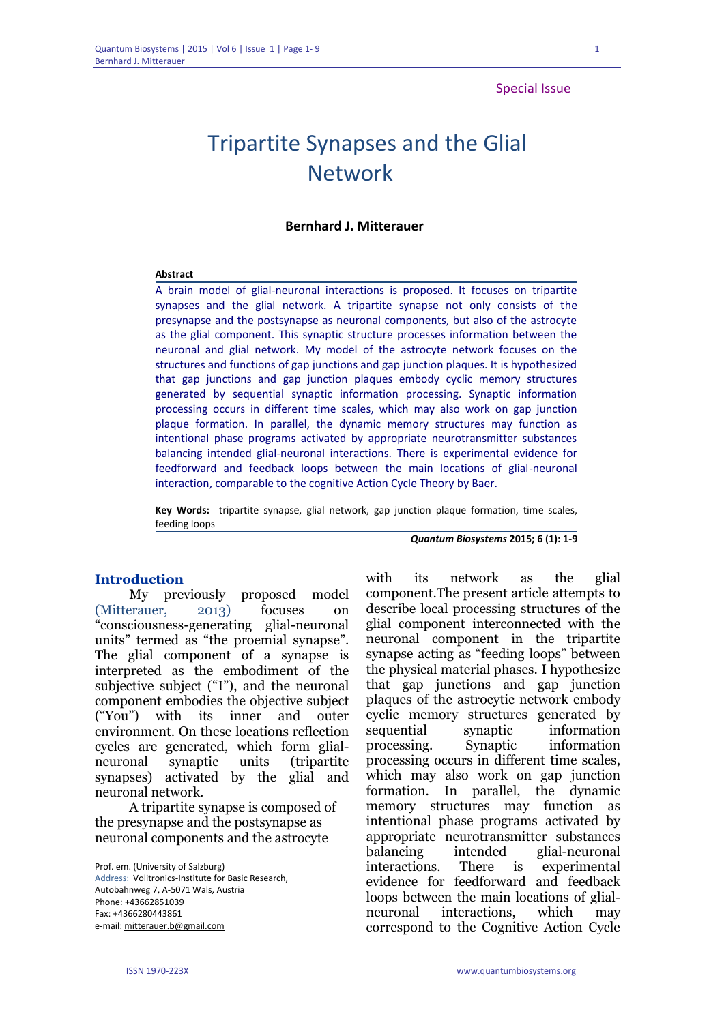# Special Issue

# Tripartite Synapses and the Glial Network

# **Bernhard J. Mitterauer**

#### **Abstract**

A brain model of glial-neuronal interactions is proposed. It focuses on tripartite synapses and the glial network. A tripartite synapse not only consists of the presynapse and the postsynapse as neuronal components, but also of the astrocyte as the glial component. This synaptic structure processes information between the neuronal and glial network. My model of the astrocyte network focuses on the structures and functions of gap junctions and gap junction plaques. It is hypothesized that gap junctions and gap junction plaques embody cyclic memory structures generated by sequential synaptic information processing. Synaptic information processing occurs in different time scales, which may also work on gap junction plaque formation. In parallel, the dynamic memory structures may function as intentional phase programs activated by appropriate neurotransmitter substances balancing intended glial-neuronal interactions. There is experimental evidence for feedforward and feedback loops between the main locations of glial-neuronal interaction, comparable to the cognitive Action Cycle Theory by Baer.

**Key Words:** tripartite synapse, glial network, gap junction plaque formation, time scales, feeding loops

*Quantum Biosystems* **2015; 6 (1): 1-9**

#### **Introduction**

My previously proposed model (Mitterauer, 2013) focuses on "consciousness-generating glial-neuronal units" termed as "the proemial synapse". The glial component of a synapse is interpreted as the embodiment of the subjective subject ("I"), and the neuronal component embodies the objective subject ("You") with its inner and outer environment. On these locations reflection cycles are generated, which form glialneuronal synaptic units (tripartite synapses) activated by the glial and neuronal network.

A tripartite synapse is composed of the presynapse and the postsynapse as neuronal components and the astrocyte

Prof. em. (University of Salzburg) Address: Volitronics-Institute for Basic Research, Autobahnweg 7, A-5071 Wals, Austria Phone: +43662851039 Fax: +4366280443861 e-mail[: mitterauer.b@gmail.com](mailto:mitterauer.b@gmail.com)

with its network as the glial component.The present article attempts to describe local processing structures of the glial component interconnected with the neuronal component in the tripartite synapse acting as "feeding loops" between the physical material phases. I hypothesize that gap junctions and gap junction plaques of the astrocytic network embody cyclic memory structures generated by sequential synaptic information processing. Synaptic information processing occurs in different time scales, which may also work on gap junction formation. In parallel, the dynamic memory structures may function as intentional phase programs activated by appropriate neurotransmitter substances balancing intended glial-neuronal interactions. There is experimental evidence for feedforward and feedback loops between the main locations of glialneuronal interactions, which may correspond to the Cognitive Action Cycle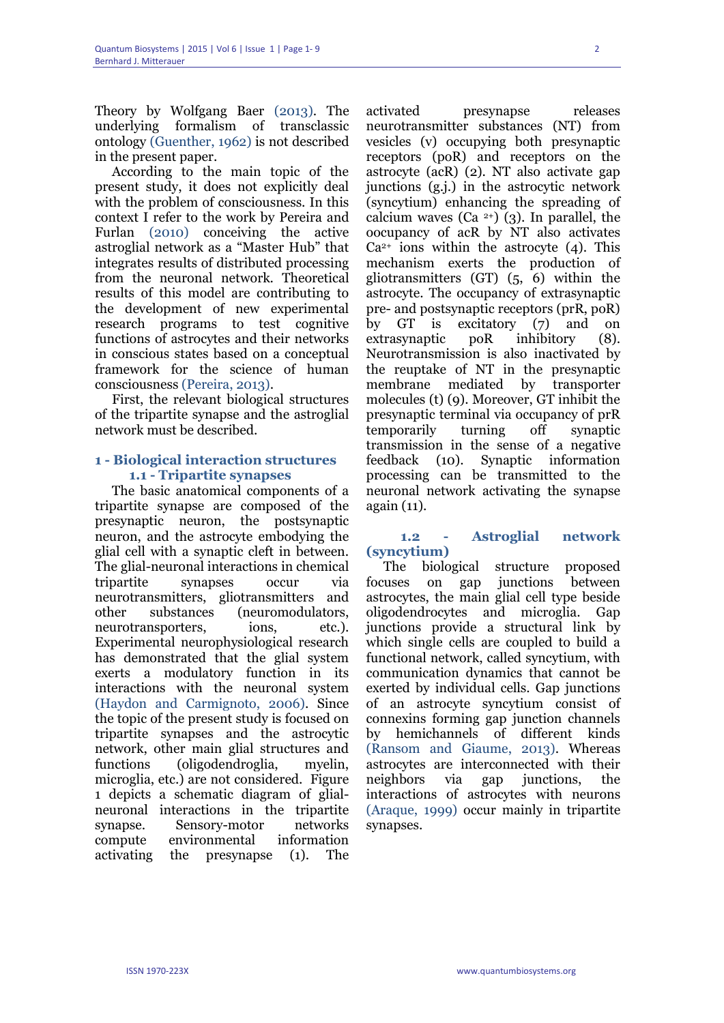Theory by Wolfgang Baer (2013). The underlying formalism of transclassic ontology (Guenther, 1962) is not described in the present paper.

According to the main topic of the present study, it does not explicitly deal with the problem of consciousness. In this context I refer to the work by Pereira and Furlan (2010) conceiving the active astroglial network as a "Master Hub" that integrates results of distributed processing from the neuronal network. Theoretical results of this model are contributing to the development of new experimental research programs to test cognitive functions of astrocytes and their networks in conscious states based on a conceptual framework for the science of human consciousness (Pereira, 2013).

First, the relevant biological structures of the tripartite synapse and the astroglial network must be described.

# **1 - Biological interaction structures 1.1 - Tripartite synapses**

The basic anatomical components of a tripartite synapse are composed of the presynaptic neuron, the postsynaptic neuron, and the astrocyte embodying the glial cell with a synaptic cleft in between. The glial-neuronal interactions in chemical tripartite synapses occur via neurotransmitters, gliotransmitters and other substances (neuromodulators, neurotransporters, ions, etc.). Experimental neurophysiological research has demonstrated that the glial system exerts a modulatory function in its interactions with the neuronal system (Haydon and Carmignoto, 2006). Since the topic of the present study is focused on tripartite synapses and the astrocytic network, other main glial structures and functions (oligodendroglia, myelin, microglia, etc.) are not considered. Figure 1 depicts a schematic diagram of glialneuronal interactions in the tripartite synapse. Sensory-motor networks compute environmental information activating the presynapse (1). The

activated presynapse releases neurotransmitter substances (NT) from vesicles (v) occupying both presynaptic receptors (poR) and receptors on the astrocyte (acR) (2). NT also activate gap junctions (g.j.) in the astrocytic network (syncytium) enhancing the spreading of calcium waves (Ca  $2+$ ) (3). In parallel, the oocupancy of acR by NT also activates  $Ca<sup>2+</sup>$  ions within the astrocyte (4). This mechanism exerts the production of gliotransmitters (GT) (5, 6) within the astrocyte. The occupancy of extrasynaptic pre- and postsynaptic receptors (prR, poR) by GT is excitatory (7) and on extrasynaptic poR inhibitory (8). Neurotransmission is also inactivated by the reuptake of NT in the presynaptic membrane mediated by transporter molecules (t) (9). Moreover, GT inhibit the presynaptic terminal via occupancy of prR temporarily turning off synaptic transmission in the sense of a negative feedback (10). Synaptic information processing can be transmitted to the neuronal network activating the synapse again (11).

# **1.2 - Astroglial network (syncytium)**

The biological structure proposed focuses on gap junctions between astrocytes, the main glial cell type beside oligodendrocytes and microglia. Gap junctions provide a structural link by which single cells are coupled to build a functional network, called syncytium, with communication dynamics that cannot be exerted by individual cells. Gap junctions of an astrocyte syncytium consist of connexins forming gap junction channels by hemichannels of different kinds (Ransom and Giaume, 2013). Whereas astrocytes are interconnected with their neighbors via gap junctions, the interactions of astrocytes with neurons (Araque, 1999) occur mainly in tripartite synapses.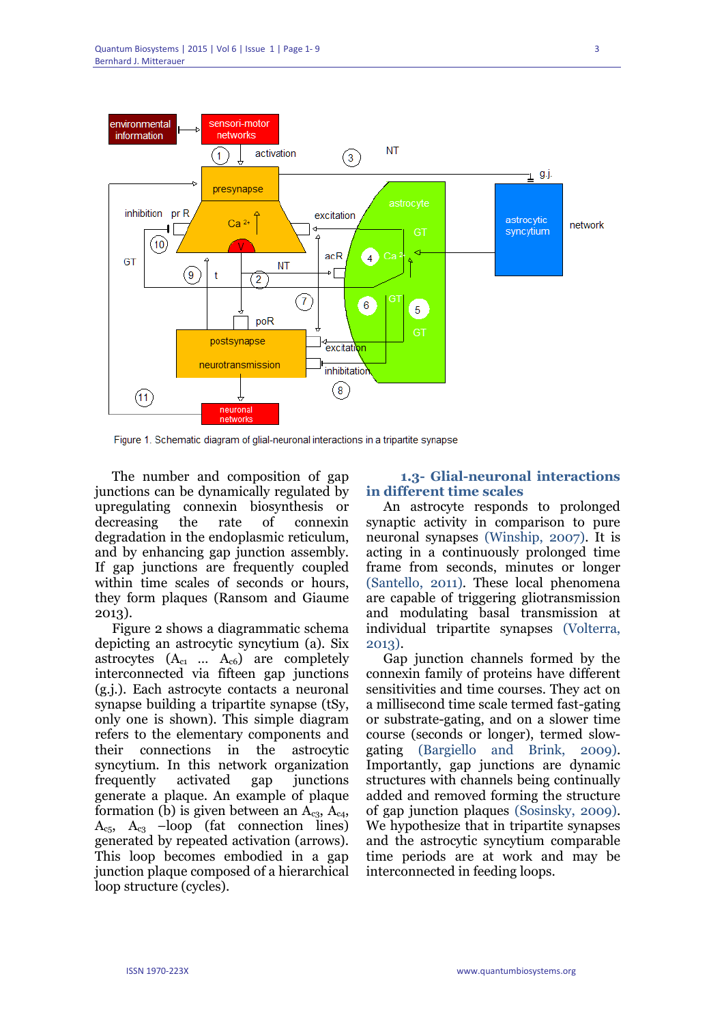

Figure 1. Schematic diagram of glial-neuronal interactions in a tripartite synapse

The number and composition of gap junctions can be dynamically regulated by upregulating connexin biosynthesis or decreasing the rate of connexin degradation in the endoplasmic reticulum, and by enhancing gap junction assembly. If gap junctions are frequently coupled within time scales of seconds or hours, they form plaques (Ransom and Giaume 2013).

Figure 2 shows a diagrammatic schema depicting an astrocytic syncytium (a). Six astrocytes  $(A_{c1} \dots A_{c6})$  are completely interconnected via fifteen gap junctions (g.j.). Each astrocyte contacts a neuronal synapse building a tripartite synapse (tSy, only one is shown). This simple diagram refers to the elementary components and their connections in the astrocytic syncytium. In this network organization frequently activated gap junctions generate a plaque. An example of plaque formation (b) is given between an  $A_{c3}$ ,  $A_{c4}$ ,  $A_{c5}$ ,  $A_{c3}$  –loop (fat connection lines) generated by repeated activation (arrows). This loop becomes embodied in a gap junction plaque composed of a hierarchical loop structure (cycles).

# **1.3- Glial-neuronal interactions in different time scales**

An astrocyte responds to prolonged synaptic activity in comparison to pure neuronal synapses (Winship, 2007). It is acting in a continuously prolonged time frame from seconds, minutes or longer (Santello, 2011). These local phenomena are capable of triggering gliotransmission and modulating basal transmission at individual tripartite synapses (Volterra, 2013).

Gap junction channels formed by the connexin family of proteins have different sensitivities and time courses. They act on a millisecond time scale termed fast-gating or substrate-gating, and on a slower time course (seconds or longer), termed slowgating (Bargiello and Brink, 2009). Importantly, gap junctions are dynamic structures with channels being continually added and removed forming the structure of gap junction plaques (Sosinsky, 2009). We hypothesize that in tripartite synapses and the astrocytic syncytium comparable time periods are at work and may be interconnected in feeding loops.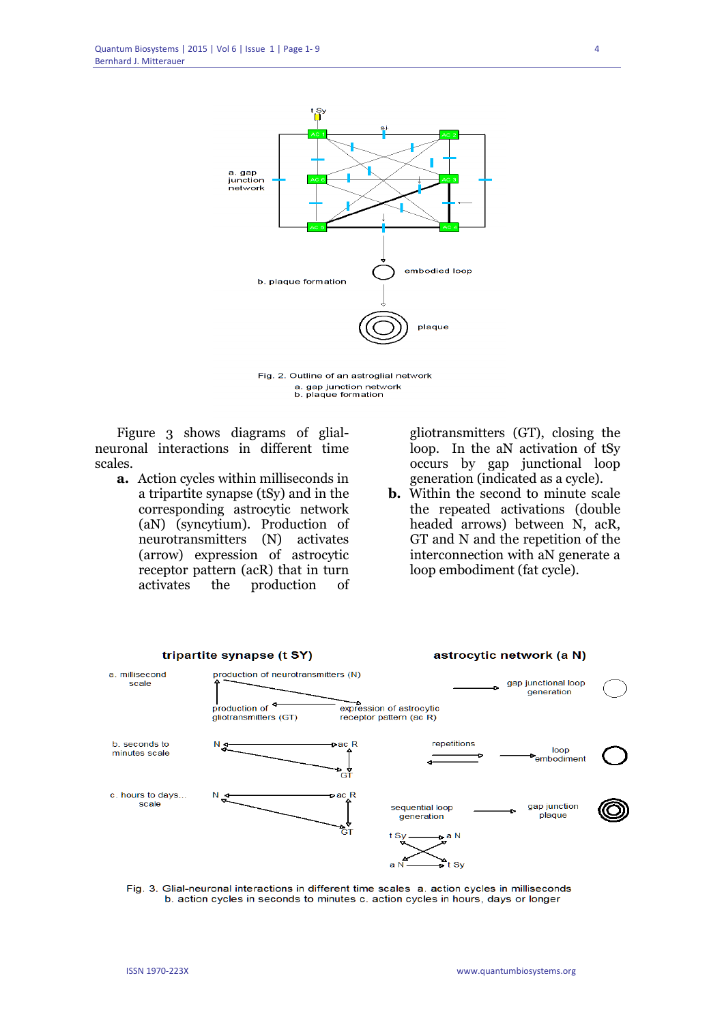

Fig. 2. Outline of an astroglial network a. gap junction network<br>b. plaque formation

Figure 3 shows diagrams of glialneuronal interactions in different time scales.

**a.** Action cycles within milliseconds in a tripartite synapse (tSy) and in the corresponding astrocytic network (aN) (syncytium). Production of neurotransmitters (N) activates (arrow) expression of astrocytic receptor pattern (acR) that in turn activates the production of gliotransmitters (GT), closing the loop. In the aN activation of tSy occurs by gap junctional loop generation (indicated as a cycle).

**b.** Within the second to minute scale the repeated activations (double headed arrows) between N, acR, GT and N and the repetition of the interconnection with aN generate a loop embodiment (fat cycle).



Fig. 3. Glial-neuronal interactions in different time scales a. action cycles in milliseconds b. action cycles in seconds to minutes c. action cycles in hours, days or longer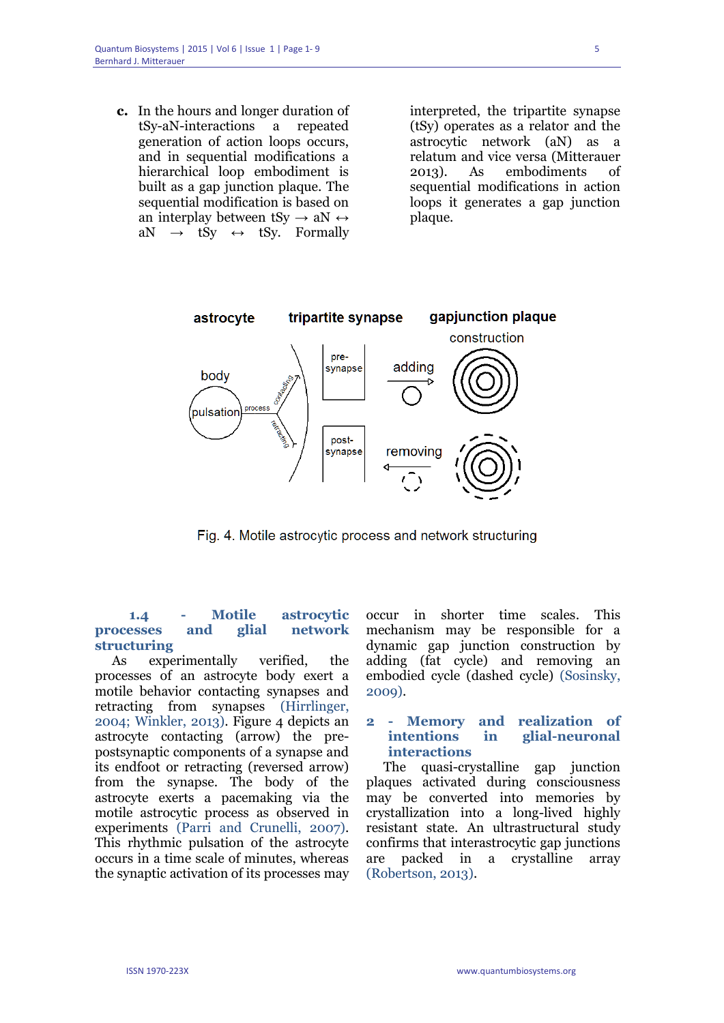**c.** In the hours and longer duration of tSy-aN-interactions a repeated generation of action loops occurs, and in sequential modifications a hierarchical loop embodiment is built as a gap junction plaque. The sequential modification is based on an interplay between tSy  $\rightarrow$  aN  $\leftrightarrow$  $aN \rightarrow tSy \leftrightarrow tSy$ . Formally

interpreted, the tripartite synapse (tSy) operates as a relator and the astrocytic network (aN) as a relatum and vice versa (Mitterauer 2013). As embodiments of sequential modifications in action loops it generates a gap junction plaque.



Fig. 4. Motile astrocytic process and network structuring

# **1.4 - Motile astrocytic processes and glial network structuring**

As experimentally verified, the processes of an astrocyte body exert a motile behavior contacting synapses and retracting from synapses (Hirrlinger, 2004; Winkler, 2013). Figure 4 depicts an astrocyte contacting (arrow) the prepostsynaptic components of a synapse and its endfoot or retracting (reversed arrow) from the synapse. The body of the astrocyte exerts a pacemaking via the motile astrocytic process as observed in experiments (Parri and Crunelli, 2007). This rhythmic pulsation of the astrocyte occurs in a time scale of minutes, whereas the synaptic activation of its processes may

occur in shorter time scales. This mechanism may be responsible for a dynamic gap junction construction by adding (fat cycle) and removing an embodied cycle (dashed cycle) (Sosinsky, 2009).

# **2 - Memory and realization of intentions in glial-neuronal interactions**

The quasi-crystalline gap junction plaques activated during consciousness may be converted into memories by crystallization into a long-lived highly resistant state. An ultrastructural study confirms that interastrocytic gap junctions are packed in a crystalline array (Robertson, 2013).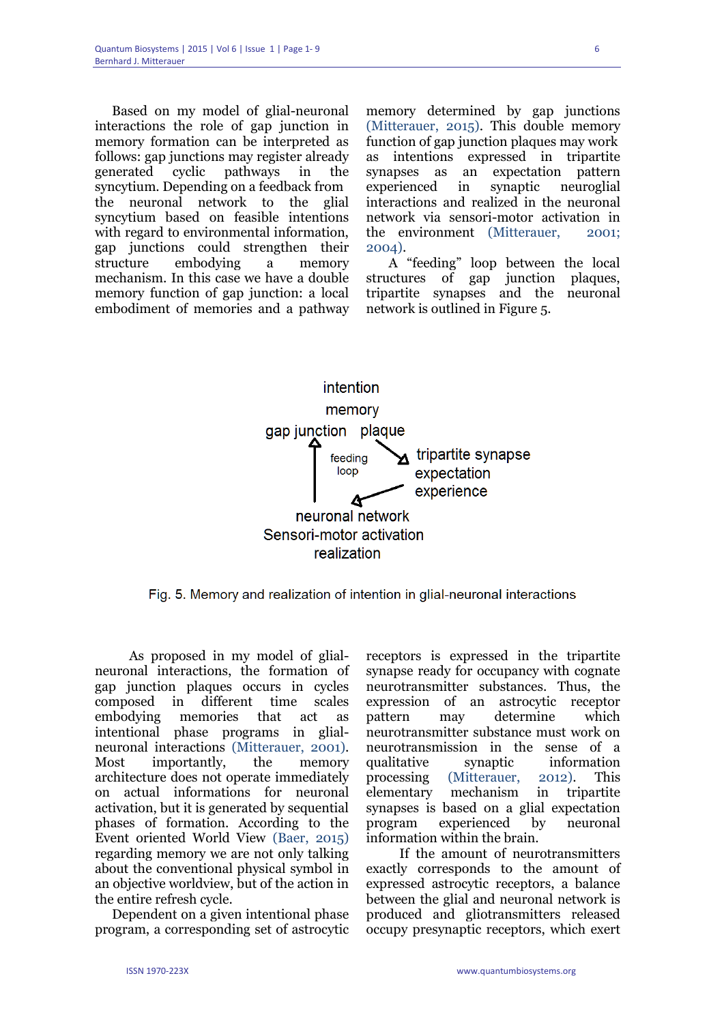Based on my model of glial-neuronal interactions the role of gap junction in memory formation can be interpreted as follows: gap junctions may register already generated cyclic pathways in the syncytium. Depending on a feedback from the neuronal network to the glial syncytium based on feasible intentions with regard to environmental information, gap junctions could strengthen their structure embodying a memory mechanism. In this case we have a double memory function of gap junction: a local embodiment of memories and a pathway memory determined by gap junctions (Mitterauer, 2015). This double memory function of gap junction plaques may work as intentions expressed in tripartite synapses as an expectation pattern experienced in synaptic neuroglial interactions and realized in the neuronal network via sensori-motor activation in the environment (Mitterauer, 2001; 2004).

 A "feeding" loop between the local structures of gap junction plaques, tripartite synapses and the neuronal network is outlined in Figure 5.



Fig. 5. Memory and realization of intention in glial-neuronal interactions

As proposed in my model of glialneuronal interactions, the formation of gap junction plaques occurs in cycles composed in different time scales embodying memories that act as intentional phase programs in glialneuronal interactions (Mitterauer, 2001). Most importantly, the memory architecture does not operate immediately on actual informations for neuronal activation, but it is generated by sequential phases of formation. According to the Event oriented World View (Baer, 2015) regarding memory we are not only talking about the conventional physical symbol in an objective worldview, but of the action in the entire refresh cycle.

Dependent on a given intentional phase program, a corresponding set of astrocytic receptors is expressed in the tripartite synapse ready for occupancy with cognate neurotransmitter substances. Thus, the expression of an astrocytic receptor pattern may determine which neurotransmitter substance must work on neurotransmission in the sense of a qualitative synaptic information processing (Mitterauer, 2012). This elementary mechanism in tripartite synapses is based on a glial expectation program experienced by neuronal information within the brain.

 If the amount of neurotransmitters exactly corresponds to the amount of expressed astrocytic receptors, a balance between the glial and neuronal network is produced and gliotransmitters released occupy presynaptic receptors, which exert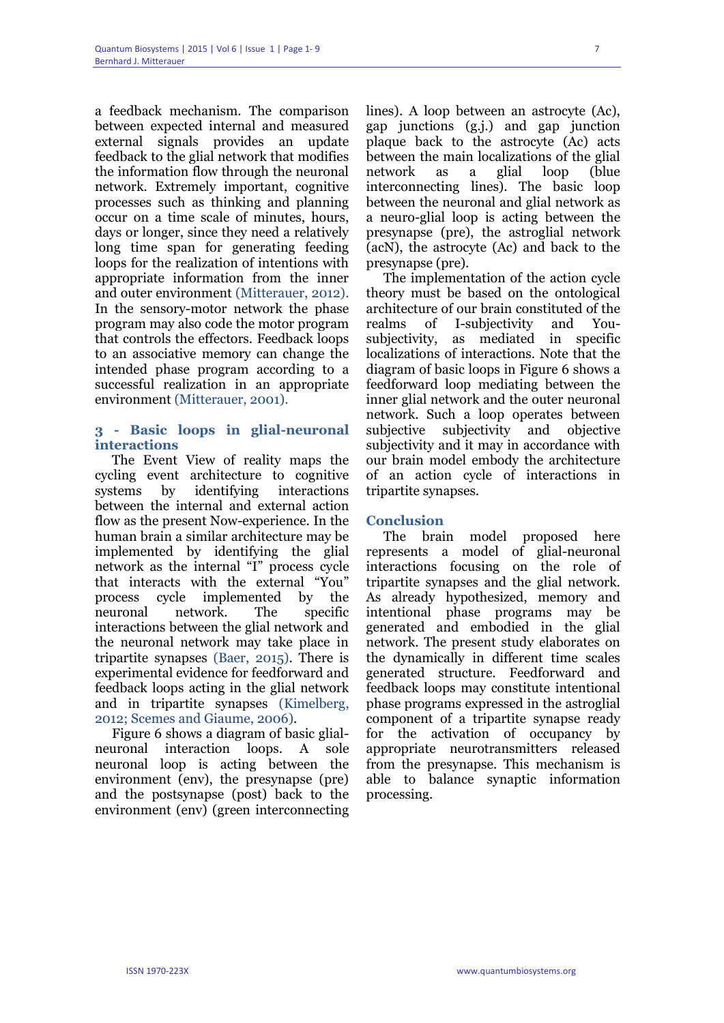a feedback mechanism. The comparison between expected internal and measured external signals provides an update feedback to the glial network that modifies the information flow through the neuronal network. Extremely important, cognitive processes such as thinking and planning occur on a time scale of minutes, hours, days or longer, since they need a relatively long time span for generating feeding loops for the realization of intentions with appropriate information from the inner and outer environment (Mitterauer, 2012). In the sensory-motor network the phase program may also code the motor program that controls the effectors. Feedback loops to an associative memory can change the intended phase program according to a successful realization in an appropriate environment (Mitterauer, 2001).

# **3 - Basic loops in glial-neuronal interactions**

The Event View of reality maps the cycling event architecture to cognitive systems by identifying interactions between the internal and external action flow as the present Now-experience. In the human brain a similar architecture may be implemented by identifying the glial network as the internal "I" process cycle that interacts with the external "You" process cycle implemented by the neuronal network. The specific interactions between the glial network and the neuronal network may take place in tripartite synapses (Baer, 2015). There is experimental evidence for feedforward and feedback loops acting in the glial network and in tripartite synapses (Kimelberg, 2012; Scemes and Giaume, 2006).

Figure 6 shows a diagram of basic glialneuronal interaction loops. A sole neuronal loop is acting between the environment (env), the presynapse (pre) and the postsynapse (post) back to the environment (env) (green interconnecting lines). A loop between an astrocyte (Ac), gap junctions (g.j.) and gap junction plaque back to the astrocyte (Ac) acts between the main localizations of the glial network as a glial loop (blue interconnecting lines). The basic loop between the neuronal and glial network as a neuro-glial loop is acting between the presynapse (pre), the astroglial network (acN), the astrocyte (Ac) and back to the presynapse (pre).

The implementation of the action cycle theory must be based on the ontological architecture of our brain constituted of the realms of I-subjectivity and Yousubjectivity, as mediated in specific localizations of interactions. Note that the diagram of basic loops in Figure 6 shows a feedforward loop mediating between the inner glial network and the outer neuronal network. Such a loop operates between subjective subjectivity and objective subjectivity and it may in accordance with our brain model embody the architecture of an action cycle of interactions in tripartite synapses.

# **Conclusion**

The brain model proposed here represents a model of glial-neuronal interactions focusing on the role of tripartite synapses and the glial network. As already hypothesized, memory and intentional phase programs may be generated and embodied in the glial network. The present study elaborates on the dynamically in different time scales generated structure. Feedforward and feedback loops may constitute intentional phase programs expressed in the astroglial component of a tripartite synapse ready for the activation of occupancy by appropriate neurotransmitters released from the presynapse. This mechanism is able to balance synaptic information processing.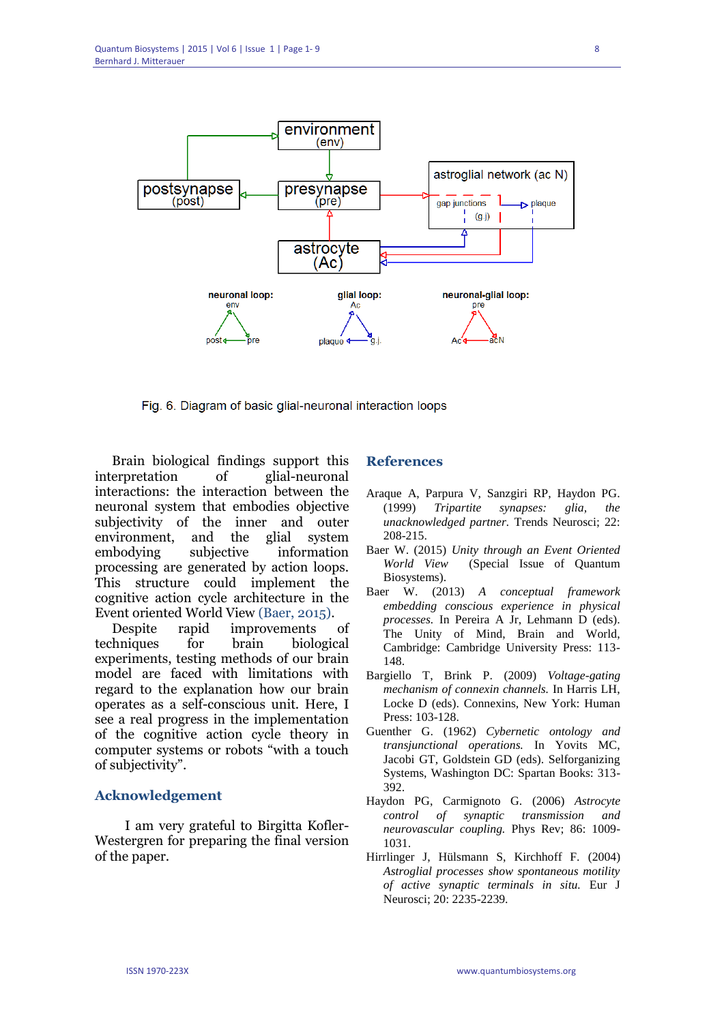

Fig. 6. Diagram of basic glial-neuronal interaction loops

Brain biological findings support this interpretation of glial-neuronal interactions: the interaction between the neuronal system that embodies objective subjectivity of the inner and outer environment, and the glial system embodying subjective information processing are generated by action loops. This structure could implement the cognitive action cycle architecture in the Event oriented World View (Baer, 2015).

Despite rapid improvements of techniques for brain biological experiments, testing methods of our brain model are faced with limitations with regard to the explanation how our brain operates as a self-conscious unit. Here, I see a real progress in the implementation of the cognitive action cycle theory in computer systems or robots "with a touch of subjectivity".

# **Acknowledgement**

 I am very grateful to Birgitta Kofler-Westergren for preparing the final version of the paper.

# **References**

- Araque A, Parpura V, Sanzgiri RP, Haydon PG. (1999) *Tripartite synapses: glia, the unacknowledged partner.* Trends Neurosci; 22: 208-215.
- Baer W. (2015) *Unity through an Event Oriented World View* (Special Issue of Quantum Biosystems).
- Baer W. (2013) *A conceptual framework embedding conscious experience in physical processes.* In Pereira A Jr, Lehmann D (eds). The Unity of Mind, Brain and World, Cambridge: Cambridge University Press: 113- 148.
- Bargiello T, Brink P. (2009) *Voltage-gating mechanism of connexin channels.* In Harris LH, Locke D (eds). Connexins, New York: Human Press: 103-128.
- Guenther G. (1962) *Cybernetic ontology and transjunctional operations.* In Yovits MC, Jacobi GT, Goldstein GD (eds). Selforganizing Systems, Washington DC: Spartan Books: 313- 392.
- Haydon PG, Carmignoto G. (2006) *Astrocyte control of synaptic transmission and neurovascular coupling.* Phys Rev; 86: 1009- 1031.
- Hirrlinger J, Hülsmann S, Kirchhoff F. (2004) *Astroglial processes show spontaneous motility of active synaptic terminals in situ.* Eur J Neurosci; 20: 2235-2239.